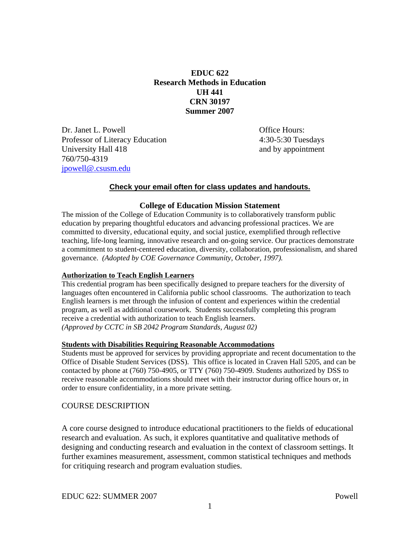# **EDUC 622 Research Methods in Education UH 441 CRN 30197 Summer 2007**

Dr. Janet L. Powell **Dr. Janet L. Powell** Professor of Literacy Education 4:30-5:30 Tuesdays University Hall 418 and by appointment 760/750-4319 jpowell@.csusm.edu

#### **Check your email often for class updates and handouts.**

#### **College of Education Mission Statement**

The mission of the College of Education Community is to collaboratively transform public education by preparing thoughtful educators and advancing professional practices. We are committed to diversity, educational equity, and social justice, exemplified through reflective teaching, life-long learning, innovative research and on-going service. Our practices demonstrate a commitment to student-centered education, diversity, collaboration, professionalism, and shared governance. *(Adopted by COE Governance Community, October, 1997).* 

#### **Authorization to Teach English Learners**

This credential program has been specifically designed to prepare teachers for the diversity of languages often encountered in California public school classrooms. The authorization to teach English learners is met through the infusion of content and experiences within the credential program, as well as additional coursework. Students successfully completing this program receive a credential with authorization to teach English learners. *(Approved by CCTC in SB 2042 Program Standards, August 02)*

#### **Students with Disabilities Requiring Reasonable Accommodations**

Students must be approved for services by providing appropriate and recent documentation to the Office of Disable Student Services (DSS). This office is located in Craven Hall 5205, and can be contacted by phone at (760) 750-4905, or TTY (760) 750-4909. Students authorized by DSS to receive reasonable accommodations should meet with their instructor during office hours or, in order to ensure confidentiality, in a more private setting.

#### COURSE DESCRIPTION

A core course designed to introduce educational practitioners to the fields of educational research and evaluation. As such, it explores quantitative and qualitative methods of designing and conducting research and evaluation in the context of classroom settings. It further examines measurement, assessment, common statistical techniques and methods for critiquing research and program evaluation studies.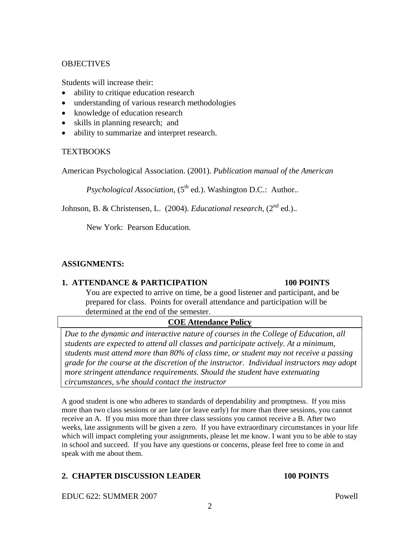### **OBJECTIVES**

Students will increase their:

- ability to critique education research
- understanding of various research methodologies
- knowledge of education research
- skills in planning research; and
- ability to summarize and interpret research.

### **TEXTBOOKS**

American Psychological Association. (2001). *Publication manual of the American* 

*Psychological Association,*  $(5<sup>th</sup>$  ed.). Washington D.C.: Author..

Johnson, B. & Christensen, L. (2004). *Educational research*, (2<sup>nd</sup> ed.)..

New York: Pearson Education.

# **ASSIGNMENTS:**

#### **1. ATTENDANCE & PARTICIPATION 100 POINTS**

You are expected to arrive on time, be a good listener and participant, and be prepared for class. Points for overall attendance and participation will be determined at the end of the semester.

# **COE Attendance Policy**

*Due to the dynamic and interactive nature of courses in the College of Education, all students are expected to attend all classes and participate actively. At a minimum, students must attend more than 80% of class time, or student may not receive a passing grade for the course at the discretion of the instructor. Individual instructors may adopt more stringent attendance requirements. Should the student have extenuating circumstances, s/he should contact the instructor* 

A good student is one who adheres to standards of dependability and promptness. If you miss more than two class sessions or are late (or leave early) for more than three sessions, you cannot receive an A. If you miss more than three class sessions you cannot receive a B. After two weeks, late assignments will be given a zero. If you have extraordinary circumstances in your life which will impact completing your assignments, please let me know. I want you to be able to stay in school and succeed. If you have any questions or concerns, please feel free to come in and speak with me about them.

# **2. CHAPTER DISCUSSION LEADER 100 POINTS**

EDUC 622: SUMMER 2007 Powell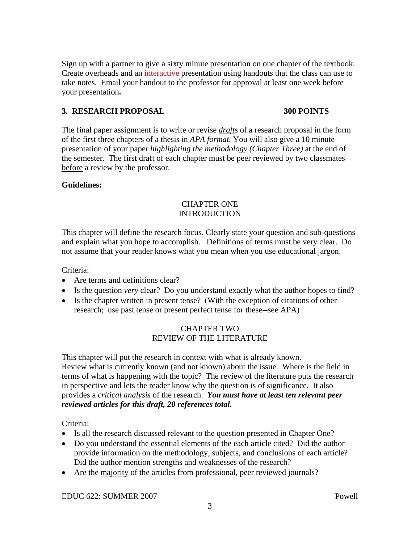Sign up with a partner to give a sixty minute presentation on one chapter of the textbook. Create overheads and an interactive presentation using handouts that the class can use to take notes. Email your handout to the professor for approval at least one week before your presentation**.** 

### **3. RESEARCH PROPOSAL 300 POINTS**

The final paper assignment is to write or revise *draft*s of a research proposal in the form of the first three chapters of a thesis in *APA format.* You will also give a 10 minute presentation of your paper *highlighting the methodology (Chapter Three)* at the end of the semester. The first draft of each chapter must be peer reviewed by two classmates before a review by the professor.

### **Guidelines:**

#### CHAPTER ONE INTRODUCTION

This chapter will define the research focus. Clearly state your question and sub-questions and explain what you hope to accomplish. Definitions of terms must be very clear. Do not assume that your reader knows what you mean when you use educational jargon.

Criteria:

- Are terms and definitions clear?
- Is the question *very* clear? Do you understand exactly what the author hopes to find?
- Is the chapter written in present tense? (With the exception of citations of other research; use past tense or present perfect tense for these--see APA)

### CHAPTER TWO REVIEW OF THE LITERATURE

This chapter will put the research in context with what is already known. Review what is currently known (and not known) about the issue. Where is the field in terms of what is happening with the topic? The review of the literature puts the research in perspective and lets the reader know why the question is of significance. It also provides a *critical analysis* of the research. *You must have at least ten relevant peer reviewed articles for this draft, 20 references total.* 

Criteria:

- Is all the research discussed relevant to the question presented in Chapter One?
- Do you understand the essential elements of the each article cited? Did the author provide information on the methodology, subjects, and conclusions of each article? Did the author mention strengths and weaknesses of the research?
- Are the majority of the articles from professional, peer reviewed journals?

EDUC 622: SUMMER 2007 Powell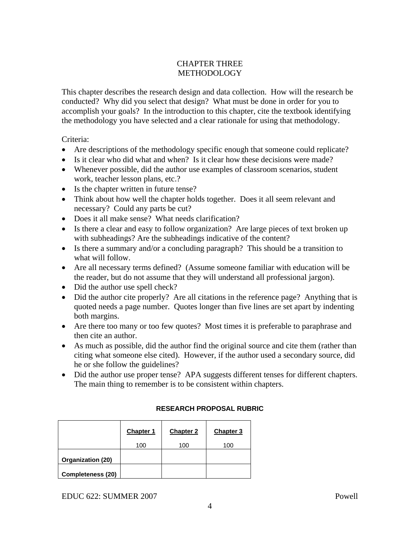# CHAPTER THREE **METHODOLOGY**

This chapter describes the research design and data collection. How will the research be conducted? Why did you select that design? What must be done in order for you to accomplish your goals? In the introduction to this chapter, cite the textbook identifying the methodology you have selected and a clear rationale for using that methodology.

Criteria:

- Are descriptions of the methodology specific enough that someone could replicate?
- Is it clear who did what and when? Is it clear how these decisions were made?
- Whenever possible, did the author use examples of classroom scenarios, student work, teacher lesson plans, etc.?
- Is the chapter written in future tense?
- Think about how well the chapter holds together. Does it all seem relevant and necessary? Could any parts be cut?
- Does it all make sense? What needs clarification?
- Is there a clear and easy to follow organization? Are large pieces of text broken up with subheadings? Are the subheadings indicative of the content?
- Is there a summary and/or a concluding paragraph? This should be a transition to what will follow.
- Are all necessary terms defined? (Assume someone familiar with education will be the reader, but do not assume that they will understand all professional jargon).
- Did the author use spell check?
- Did the author cite properly? Are all citations in the reference page? Anything that is quoted needs a page number. Quotes longer than five lines are set apart by indenting both margins.
- Are there too many or too few quotes? Most times it is preferable to paraphrase and then cite an author.
- As much as possible, did the author find the original source and cite them (rather than citing what someone else cited). However, if the author used a secondary source, did he or she follow the guidelines?
- Did the author use proper tense? APA suggests different tenses for different chapters. The main thing to remember is to be consistent within chapters.

#### **RESEARCH PROPOSAL RUBRIC**

|                          | <b>Chapter 1</b> | <b>Chapter 2</b> | Chapter 3 |
|--------------------------|------------------|------------------|-----------|
|                          | 100              | 100              | 100       |
| Organization (20)        |                  |                  |           |
| <b>Completeness (20)</b> |                  |                  |           |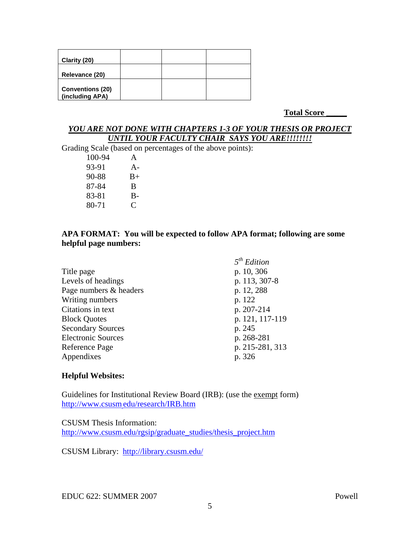| Clarity (20)                               |  |  |
|--------------------------------------------|--|--|
| Relevance (20)                             |  |  |
| <b>Conventions (20)</b><br>(including APA) |  |  |

**Total Score \_\_\_\_\_**

#### *YOU ARE NOT DONE WITH CHAPTERS 1-3 OF YOUR THESIS OR PROJECT UNTIL YOUR FACULTY CHAIR SAYS YOU ARE!!!!!!!!*

Grading Scale (based on percentages of the above points):

100-94 A 93-91 A- 90-88 B+ 87-84 B 83-81 B-80-71 C

#### **APA FORMAT: You will be expected to follow APA format; following are some helpful page numbers:**

|                           | 5 <sup>th</sup> Edition |
|---------------------------|-------------------------|
| Title page                | p. 10, 306              |
| Levels of headings        | p. 113, 307-8           |
| Page numbers & headers    | p. 12, 288              |
| Writing numbers           | p. 122                  |
| Citations in text         | p. 207-214              |
| <b>Block Quotes</b>       | p. 121, 117-119         |
| <b>Secondary Sources</b>  | p. 245                  |
| <b>Electronic Sources</b> | p. 268-281              |
| Reference Page            | p. 215-281, 313         |
| Appendixes                | p. 326                  |

# **Helpful Websites:**

Guidelines for Institutional Review Board (IRB): (use the exempt form) http://www.csusm.edu/research/IRB.htm

#### CSUSM Thesis Information:

http://www.csusm.edu/rgsip/graduate\_studies/thesis\_project.htm

CSUSM Library: http://library.csusm.edu/